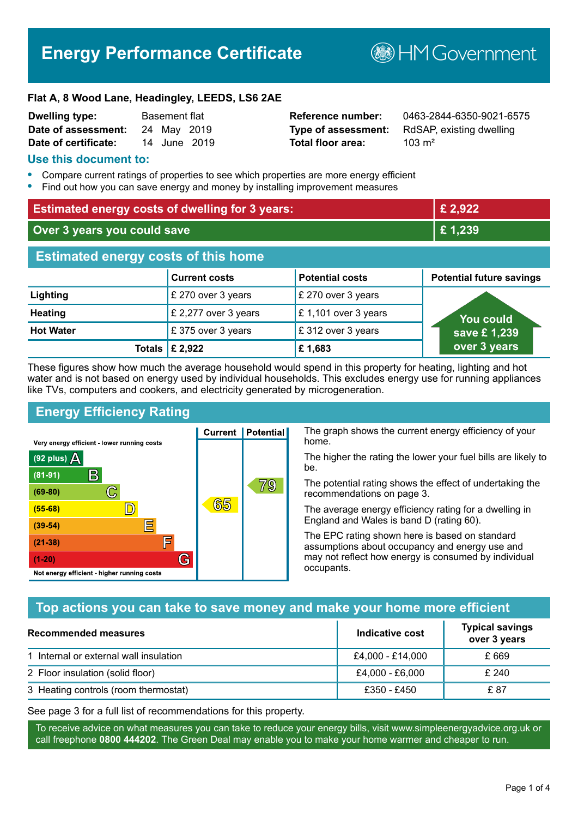# **Energy Performance Certificate**

**B**HM Government

#### **Flat A, 8 Wood Lane, Headingley, LEEDS, LS6 2AE**

| <b>Dwelling type:</b> | <b>Basement flat</b> |             |              |
|-----------------------|----------------------|-------------|--------------|
| Date of assessment:   |                      | 24 May 2019 |              |
| Date of certificate:  |                      |             | 14 June 2019 |

# **Total floor area:** 103 m<sup>2</sup>

**Reference number:** 0463-2844-6350-9021-6575 **Type of assessment:** RdSAP, existing dwelling

#### **Use this document to:**

- **•** Compare current ratings of properties to see which properties are more energy efficient
- **•** Find out how you can save energy and money by installing improvement measures

| <b>Estimated energy costs of dwelling for 3 years:</b> |                                 | £2,922                 |                                 |
|--------------------------------------------------------|---------------------------------|------------------------|---------------------------------|
| Over 3 years you could save                            |                                 | £1,239                 |                                 |
| <b>Estimated energy costs of this home</b>             |                                 |                        |                                 |
|                                                        | <b>Current costs</b>            | <b>Potential costs</b> | <b>Potential future savings</b> |
| Lighting                                               | £ 270 over 3 years              | £ 270 over 3 years     |                                 |
| <b>Heating</b>                                         | £ 2,277 over 3 years            | £ 1,101 over 3 years   | You could                       |
| <b>Hot Water</b>                                       | £375 over 3 years               | £312 over 3 years      | save £1,239                     |
|                                                        | Totals $\mathbf \epsilon$ 2,922 | £1,683                 | over 3 years                    |

These figures show how much the average household would spend in this property for heating, lighting and hot water and is not based on energy used by individual households. This excludes energy use for running appliances like TVs, computers and cookers, and electricity generated by microgeneration.

**Current | Potential** 

65

# **Energy Efficiency Rating**

 $\mathbb{C}$ 

 $\mathbb{D}$ 

E

庐

G

Very energy efficient - lower running costs

R

Not energy efficient - higher running costs

(92 plus)  $\Delta$ 

 $(81 - 91)$ 

 $(69 - 80)$ 

 $(55-68)$ 

 $(39 - 54)$ 

 $(21-38)$ 

 $(1-20)$ 

The graph shows the current energy efficiency of your home.

The higher the rating the lower your fuel bills are likely to be.

The potential rating shows the effect of undertaking the recommendations on page 3.

The average energy efficiency rating for a dwelling in England and Wales is band D (rating 60).

The EPC rating shown here is based on standard assumptions about occupancy and energy use and may not reflect how energy is consumed by individual occupants.

# **Top actions you can take to save money and make your home more efficient**

79

| Recommended measures                   | Indicative cost  | <b>Typical savings</b><br>over 3 years |
|----------------------------------------|------------------|----------------------------------------|
| 1 Internal or external wall insulation | £4,000 - £14,000 | £ 669                                  |
| 2 Floor insulation (solid floor)       | £4,000 - £6,000  | £ 240                                  |
| 3 Heating controls (room thermostat)   | £350 - £450      | £ 87                                   |

See page 3 for a full list of recommendations for this property.

To receive advice on what measures you can take to reduce your energy bills, visit www.simpleenergyadvice.org.uk or call freephone **0800 444202**. The Green Deal may enable you to make your home warmer and cheaper to run.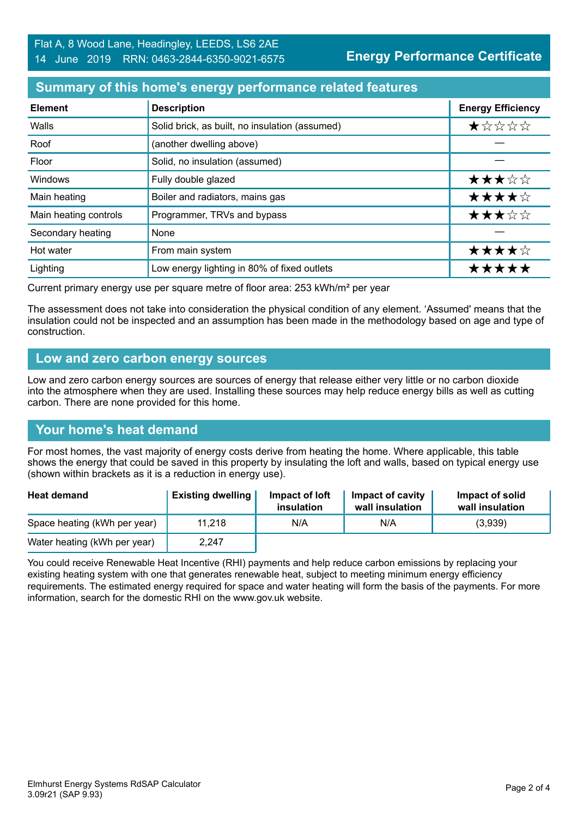### **Summary of this home's energy performance related features**

| <b>Element</b>        | <b>Description</b>                             | <b>Energy Efficiency</b> |
|-----------------------|------------------------------------------------|--------------------------|
| Walls                 | Solid brick, as built, no insulation (assumed) | $\star$ * * * *          |
| Roof                  | (another dwelling above)                       |                          |
| Floor                 | Solid, no insulation (assumed)                 |                          |
| Windows               | Fully double glazed                            | ★★★☆☆                    |
| Main heating          | Boiler and radiators, mains gas                | ★★★★☆                    |
| Main heating controls | Programmer, TRVs and bypass                    | ★★★☆☆                    |
| Secondary heating     | None                                           |                          |
| Hot water             | From main system                               | ★★★★☆                    |
| Lighting              | Low energy lighting in 80% of fixed outlets    | *****                    |

Current primary energy use per square metre of floor area: 253 kWh/m² per year

The assessment does not take into consideration the physical condition of any element. 'Assumed' means that the insulation could not be inspected and an assumption has been made in the methodology based on age and type of construction.

#### **Low and zero carbon energy sources**

Low and zero carbon energy sources are sources of energy that release either very little or no carbon dioxide into the atmosphere when they are used. Installing these sources may help reduce energy bills as well as cutting carbon. There are none provided for this home.

#### **Your home's heat demand**

For most homes, the vast majority of energy costs derive from heating the home. Where applicable, this table shows the energy that could be saved in this property by insulating the loft and walls, based on typical energy use (shown within brackets as it is a reduction in energy use).

| <b>Heat demand</b>           | <b>Existing dwelling</b> | Impact of loft<br>insulation | Impact of cavity<br>wall insulation | Impact of solid<br>wall insulation |
|------------------------------|--------------------------|------------------------------|-------------------------------------|------------------------------------|
| Space heating (kWh per year) | 11.218                   | N/A                          | N/A                                 | (3,939)                            |
| Water heating (kWh per year) | 2,247                    |                              |                                     |                                    |

You could receive Renewable Heat Incentive (RHI) payments and help reduce carbon emissions by replacing your existing heating system with one that generates renewable heat, subject to meeting minimum energy efficiency requirements. The estimated energy required for space and water heating will form the basis of the payments. For more information, search for the domestic RHI on the www.gov.uk website.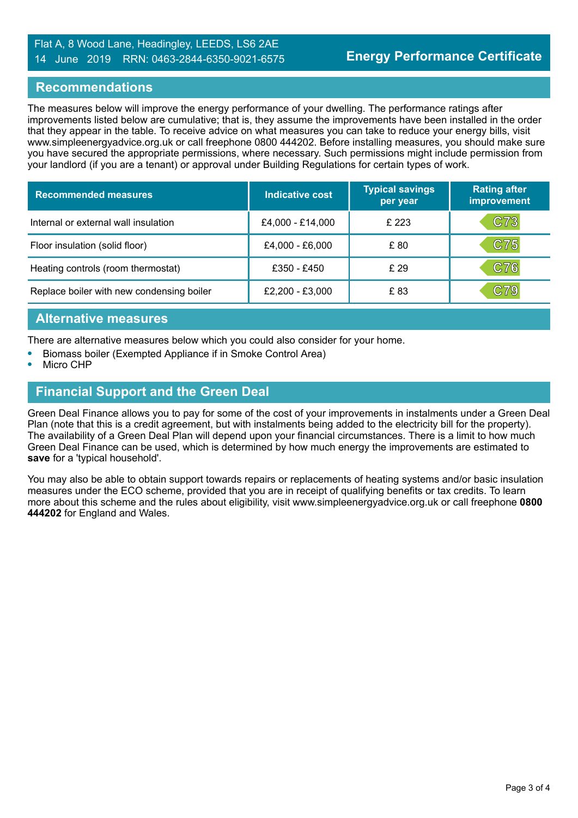#### Flat A, 8 Wood Lane, Headingley, LEEDS, LS6 2AE 14 June 2019 RRN: 0463-2844-6350-9021-6575

#### **Recommendations**

The measures below will improve the energy performance of your dwelling. The performance ratings after improvements listed below are cumulative; that is, they assume the improvements have been installed in the order that they appear in the table. To receive advice on what measures you can take to reduce your energy bills, visit www.simpleenergyadvice.org.uk or call freephone 0800 444202. Before installing measures, you should make sure you have secured the appropriate permissions, where necessary. Such permissions might include permission from your landlord (if you are a tenant) or approval under Building Regulations for certain types of work.

| <b>Recommended measures</b>               | <b>Indicative cost</b> | <b>Typical savings</b><br>per year | <b>Rating after</b><br>improvement |
|-------------------------------------------|------------------------|------------------------------------|------------------------------------|
| Internal or external wall insulation      | £4,000 - £14,000       | £ 223                              | C73                                |
| Floor insulation (solid floor)            | £4,000 - £6,000        | £80                                | C75                                |
| Heating controls (room thermostat)        | £350 - £450            | £29                                | C76                                |
| Replace boiler with new condensing boiler | £2,200 - £3,000        | £ 83                               | $\mathbf{C}79$                     |

### **Alternative measures**

There are alternative measures below which you could also consider for your home.

- **•** Biomass boiler (Exempted Appliance if in Smoke Control Area)
- **•** Micro CHP

# **Financial Support and the Green Deal**

Green Deal Finance allows you to pay for some of the cost of your improvements in instalments under a Green Deal Plan (note that this is a credit agreement, but with instalments being added to the electricity bill for the property). The availability of a Green Deal Plan will depend upon your financial circumstances. There is a limit to how much Green Deal Finance can be used, which is determined by how much energy the improvements are estimated to **save** for a 'typical household'.

You may also be able to obtain support towards repairs or replacements of heating systems and/or basic insulation measures under the ECO scheme, provided that you are in receipt of qualifying benefits or tax credits. To learn more about this scheme and the rules about eligibility, visit www.simpleenergyadvice.org.uk or call freephone **0800 444202** for England and Wales.